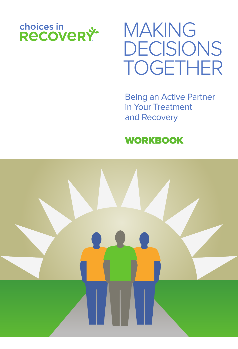

# MAKING DECISIONS TOGETHER

Being an Active Partner in Your Treatment and Recovery

### **WORKBOOK**

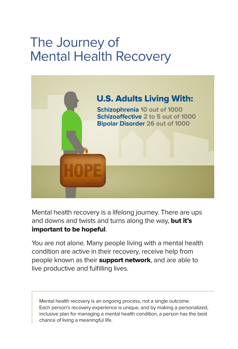## The Journey of Mental Health Recovery



Mental health recovery is a lifelong journey. There are ups and downs and twists and turns along the way, but it's important to be hopeful.

You are not alone. Many people living with a mental health condition are active in their recovery, receive help from people known as their **support network**, and are able to live productive and fulfilling lives.

Mental health recovery is an ongoing process, not a single outcome. Each person's recovery experience is unique, and by making a personalized, inclusive plan for managing a mental health condition, a person has the best chance of living a meaningful life.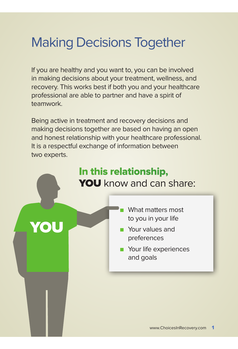## Making Decisions Together

If you are healthy and you want to, you can be involved in making decisions about your treatment, wellness, and recovery. This works best if both you and your healthcare professional are able to partner and have a spirit of teamwork.

Being active in treatment and recovery decisions and making decisions together are based on having an open and honest relationship with your healthcare professional. It is a respectful exchange of information between two experts.

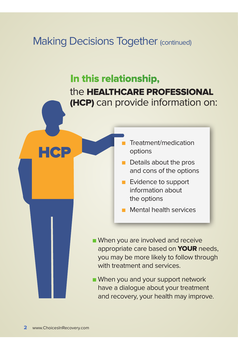### **Making Decisions Together (continued)**

### the HEALTHCARE PROFESSIONAL (HCP) can provide information on: In this relationship,

- Treatment/medication options
- $\blacksquare$  Details about the pros and cons of the options
- **n** Evidence to support information about the options
- $\blacksquare$  Mental health services
- **Notal When you are involved and receive** appropriate care based on **YOUR** needs, you may be more likely to follow through with treatment and services.
- **Notal Millen** you and your support network have a dialogue about your treatment and recovery, your health may improve.

HCP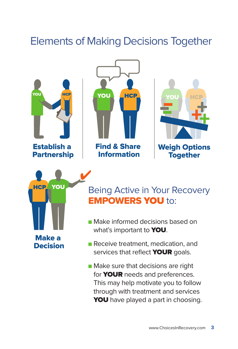## Elements of Making Decisions Together



Establish a Partnership







### Being Active in Your Recovery **EMPOWERS YOU to:**

- **n** Make informed decisions based on what's important to **YOU**.
- Receive treatment, medication, and services that reflect **YOUR** goals.
- **n** Make sure that decisions are right for **YOUR** needs and preferences. This may help motivate you to follow through with treatment and services YOU have played a part in choosing.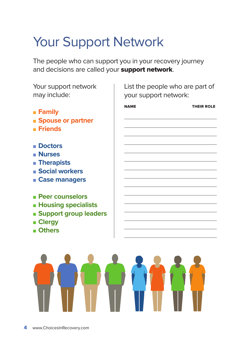## Your Support Network

The people who can support you in your recovery journey and decisions are called your **support network**.

Your support network may include:

- <sup>n</sup> **Family**
- **n** Spouse or partner
- <sup>n</sup> **Friends**
- <sup>n</sup> **Doctors**
- <sup>n</sup> **Nurses**
- **n** Therapists
- <sup>n</sup> **Social workers**
- <sup>n</sup> **Case managers**
- <sup>n</sup> **Peer counselors**
- $\blacksquare$  **Housing specialists**
- **n** Support group leaders
- <sup>n</sup> **Clergy**
- <sup>n</sup> **Others**

List the people who are part of your support network: ر<br>ا

NAME THEIR ROLE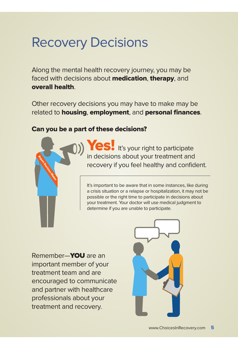## Recovery Decisions

Along the mental health recovery journey, you may be faced with decisions about **medication, therapy**, and overall health.

Other recovery decisions you may have to make may be related to housing, employment, and personal finances.

### Can you be a part of these decisions?



Yes! It's your right to participate in decisions about your treatment and recovery if you feel healthy and confident.

It's important to be aware that in some instances, like during a crisis situation or a relapse or hospitalization, it may not be possible or the right time to participate in decisions about your treatment. Your doctor will use medical judgment to determine if you are unable to participate.

Remember—YOU are an important member of your treatment team and are encouraged to communicate and partner with healthcare professionals about your treatment and recovery.

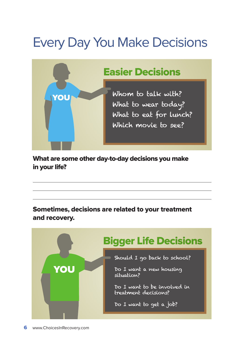## Every Day You Make Decisions



What are some other day-to-day decisions you make in your life?

Sometimes, decisions are related to your treatment and recovery.

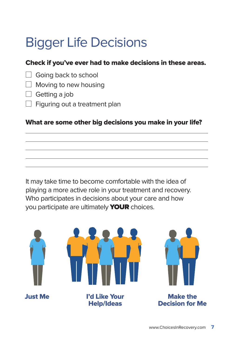## Bigger Life Decisions

### Check if you've ever had to make decisions in these areas.

- $\Box$  Going back to school
- $\Box$  Moving to new housing
- $\Box$  Getting a job
- $\Box$  Figuring out a treatment plan

### What are some other big decisions you make in your life?

It may take time to become comfortable with the idea of playing a more active role in your treatment and recovery. Who participates in decisions about your care and how you participate are ultimately **YOUR** choices.

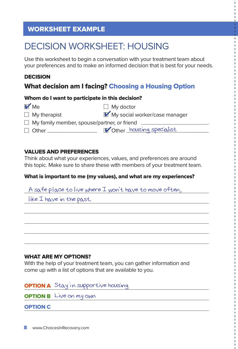### WORKSHEET EXAMPLE

### DECISION WORKSHEET: HOUSING

Use this worksheet to begin a conversation with your treatment team about your preferences and to make an informed decision that is best for your needs.

### DECISION

### What decision am I facing? Choosing a Housing Option

#### Whom do I want to participate in this decision?

| $\mathbf{V}$ Me                                    | $\Box$ My doctor              |
|----------------------------------------------------|-------------------------------|
| $\Box$ My therapist                                | My social worker/case manager |
| $\Box$ My family member, spouse/partner, or friend |                               |
| $\Box$ Other                                       | Other housing specialist      |

### VALUES AND PREFERENCES

Think about what your experiences, values, and preferences are around this topic. Make sure to share these with members of your treatment team.

### What is important to me (my values), and what are my experiences?

A safe place to live where I won't have to move often,

like I have in the past.

### WHAT ARE MY OPTIONS?

With the help of your treatment team, you can gather information and come up with a list of options that are available to you.

### OPTION A Stay in supportive housing

**OPTION B** Live on my own

OPTION C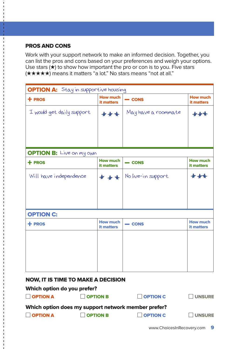### PROS AND CONS

Work with your support network to make an informed decision. Together, you can list the pros and cons based on your preferences and weigh your options. Use stars  $(\star)$  to show how important the pro or con is to you. Five stars (★★★★★) means it matters "a lot." No stars means "not at all."

| <b>OPTION A:</b> Stay in supportive housing                                                                                   |                               |                     |                               |  |
|-------------------------------------------------------------------------------------------------------------------------------|-------------------------------|---------------------|-------------------------------|--|
| $+$ PROS                                                                                                                      | <b>How much</b><br>it matters | $=$ CONS            | <b>How much</b><br>it matters |  |
| I would get daily support                                                                                                     | ***                           | May have a roommate |                               |  |
|                                                                                                                               |                               |                     |                               |  |
| <b>OPTION B:</b> Live on my own                                                                                               |                               |                     |                               |  |
| $+$ PROS                                                                                                                      | <b>How much</b><br>it matters | $=$ CONS            | <b>How much</b><br>it matters |  |
| Will have independence                                                                                                        | ***                           | No live-in support  | $+ +$                         |  |
|                                                                                                                               |                               |                     |                               |  |
| <b>OPTION C:</b>                                                                                                              |                               |                     |                               |  |
| $+$ PROS                                                                                                                      | <b>How much</b><br>it matters | $=$ CONS            | <b>How much</b><br>it matters |  |
|                                                                                                                               |                               |                     |                               |  |
|                                                                                                                               |                               |                     |                               |  |
|                                                                                                                               |                               |                     |                               |  |
| <b>NOW, IT IS TIME TO MAKE A DECISION</b><br>$M = 2$ and $M = 12$ and $M = 12$<br>$\mathbf{r}$ . The contract of $\mathbf{r}$ |                               |                     |                               |  |

#### Which option do you prefer?

| $\Box$ OPTION A | $\Box$ OPTION B                                     | $\Box$ OPTION C | <b>UNSURE</b> |
|-----------------|-----------------------------------------------------|-----------------|---------------|
|                 | Which option does my support network member prefer? |                 |               |
| $\Box$ OPTION A | $\Box$ OPTION B                                     | $\Box$ OPTION C | $\Box$ UNSURE |
|                 |                                                     |                 |               |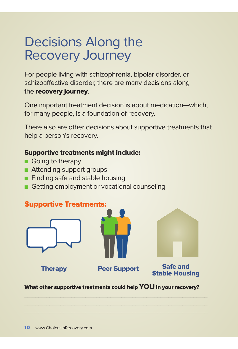## Decisions Along the Recovery Journey

For people living with schizophrenia, bipolar disorder, or schizoaffective disorder, there are many decisions along the recovery journey.

One important treatment decision is about medication—which, for many people, is a foundation of recovery.

There also are other decisions about supportive treatments that help a person's recovery.

### Supportive treatments might include:

- **n** Going to therapy
- **n** Attending support groups
- **n** Finding safe and stable housing
- Getting employment or vocational counseling



What other supportive treatments could help YOU in your recovery?

 $\frac{1}{2}$  ,  $\frac{1}{2}$  ,  $\frac{1}{2}$  ,  $\frac{1}{2}$  ,  $\frac{1}{2}$  ,  $\frac{1}{2}$  ,  $\frac{1}{2}$  ,  $\frac{1}{2}$  ,  $\frac{1}{2}$  ,  $\frac{1}{2}$  ,  $\frac{1}{2}$  ,  $\frac{1}{2}$  ,  $\frac{1}{2}$  ,  $\frac{1}{2}$  ,  $\frac{1}{2}$  ,  $\frac{1}{2}$  ,  $\frac{1}{2}$  ,  $\frac{1}{2}$  ,  $\frac{1$  $\Box$  $\sum_{i=1}^n\frac{1}{i!}\sum_{i=1}^n\frac{1}{i!}\sum_{i=1}^n\frac{1}{i!}\sum_{i=1}^n\frac{1}{i!}\sum_{i=1}^n\frac{1}{i!}\sum_{i=1}^n\frac{1}{i!}\sum_{i=1}^n\frac{1}{i!}\sum_{i=1}^n\frac{1}{i!}\sum_{i=1}^n\frac{1}{i!}\sum_{i=1}^n\frac{1}{i!}\sum_{i=1}^n\frac{1}{i!}\sum_{i=1}^n\frac{1}{i!}\sum_{i=1}^n\frac{1}{i!}\sum_{i=1}^n\frac{$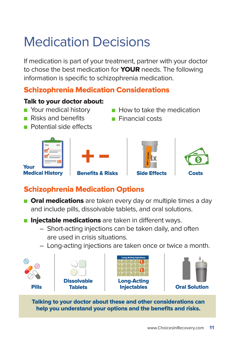## Medication Decisions

If medication is part of your treatment, partner with your doctor to chose the best medication for **YOUR** needs. The following information is specific to schizophrenia medication.

### Schizophrenia Medication Considerations

### Talk to your doctor about:

- **n** Your medical history
- **n** Risks and benefits
- **Potential side effects**
- $\blacksquare$  How to take the medication
- $\blacksquare$  Financial costs



### Schizophrenia Medication Options

- **n Oral medications** are taken every day or multiple times a day and include pills, dissolvable tablets, and oral solutions.
- **n Injectable medications** are taken in different ways.
	- Short-acting injections can be taken daily, and often are used in crisis situations.
	- Long-acting injections are taken once or twice a month.



Talking to your doctor about these and other considerations can help you understand your options and the benefits and risks.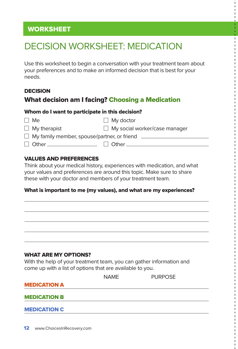### DECISION WORKSHEET: MEDICATION

Use this worksheet to begin a conversation with your treatment team about your preferences and to make an informed decision that is best for your needs.

### DECISION

### What decision am I facing? Choosing a Medication

#### Whom do I want to participate in this decision?

| Me Me                                                     | $\Box$ My doctor                     |
|-----------------------------------------------------------|--------------------------------------|
| $\Box$ My therapist                                       | $\Box$ My social worker/case manager |
| $\Box$ My family member, spouse/partner, or friend $\Box$ |                                      |
|                                                           | l I Other                            |

### VALUES AND PREFERENCES

Think about your medical history, experiences with medication, and what your values and preferences are around this topic. Make sure to share these with your doctor and members of your treatment team.

### What is important to me (my values), and what are my experiences?

#### WHAT ARE MY OPTIONS?

With the help of your treatment team, you can gather information and come up with a list of options that are available to you.

|                     | <b>NAME</b> | <b>PURPOSE</b> |  |
|---------------------|-------------|----------------|--|
| <b>MEDICATION A</b> |             |                |  |
| <b>MEDICATION B</b> |             |                |  |
| <b>MEDICATION C</b> |             |                |  |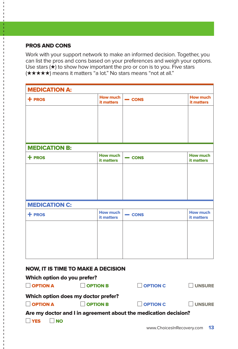### PROS AND CONS

Work with your support network to make an informed decision. Together, you can list the pros and cons based on your preferences and weigh your options. Use stars  $(\star)$  to show how important the pro or con is to you. Five stars (★★★★) means it matters "a lot." No stars means "not at all."

| <b>MEDICATION A:</b> |                               |               |                               |  |
|----------------------|-------------------------------|---------------|-------------------------------|--|
| $+$ PROS             | <b>How much</b><br>it matters | $\equiv$ CONS | <b>How much</b><br>it matters |  |
|                      |                               |               |                               |  |
|                      |                               |               |                               |  |
|                      |                               |               |                               |  |
| <b>MEDICATION B:</b> |                               |               |                               |  |
| + PROS               | <b>How much</b><br>it matters | $=$ CONS      | <b>How much</b><br>it matters |  |
|                      |                               |               |                               |  |
|                      |                               |               |                               |  |
|                      |                               |               |                               |  |
| <b>MEDICATION C:</b> |                               |               |                               |  |
| $+$ PROS             | <b>How much</b><br>it matters | $\equiv$ CONS | <b>How much</b><br>it matters |  |
|                      |                               |               |                               |  |
|                      |                               |               |                               |  |
|                      |                               |               |                               |  |
|                      |                               |               |                               |  |

#### NOW, IT IS TIME TO MAKE A DECISION

| Which option do you prefer?         |                                                                 |                 |               |  |  |  |
|-------------------------------------|-----------------------------------------------------------------|-----------------|---------------|--|--|--|
| $\Box$ OPTION A                     | <b>OPTION B</b>                                                 | <b>OPTION C</b> | <b>UNSURE</b> |  |  |  |
| Which option does my doctor prefer? |                                                                 |                 |               |  |  |  |
| $\Box$ OPTION A                     | <b>OPTION B</b>                                                 | OPTION C        | <b>UNSURE</b> |  |  |  |
|                                     | Are my doctor and I in agreement about the medication decision? |                 |               |  |  |  |
| <b>I</b> YES                        |                                                                 |                 |               |  |  |  |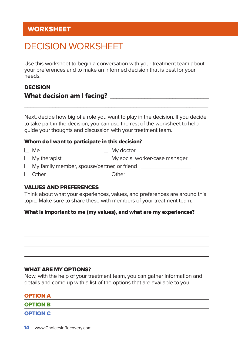### DECISION WORKSHEET

Use this worksheet to begin a conversation with your treatment team about your preferences and to make an informed decision that is best for your needs.

### DECISION What decision am I facing? \_\_\_\_\_\_\_\_\_\_\_\_\_\_\_\_\_\_\_\_\_\_\_\_\_\_\_\_\_\_\_\_

Next, decide how big of a role you want to play in the decision. If you decide to take part in the decision, you can use the rest of the worksheet to help guide your thoughts and discussion with your treatment team.

\_\_\_\_\_\_\_\_\_\_\_\_\_\_\_\_\_\_\_\_\_\_\_\_\_\_\_\_\_\_\_\_\_\_\_\_\_\_\_\_\_\_\_\_\_\_\_\_\_\_\_\_\_\_\_\_\_\_\_

#### Whom do I want to participate in this decision?

| $\Box$ Me                                                 | $\Box$ My doctor                     |
|-----------------------------------------------------------|--------------------------------------|
| $\Box$ My therapist                                       | $\Box$ My social worker/case manager |
| $\Box$ My family member, spouse/partner, or friend $\Box$ |                                      |
|                                                           | $\Box$ Other $\Box$                  |

### VALUES AND PREFERENCES

Think about what your experiences, values, and preferences are around this topic. Make sure to share these with members of your treatment team.

### What is important to me (my values), and what are my experiences?

#### WHAT ARE MY OPTIONS?

Now, with the help of your treatment team, you can gather information and details and come up with a list of the options that are available to you.

| <b>OPTION A</b> |  |  |
|-----------------|--|--|
| <b>OPTION B</b> |  |  |
| <b>OPTION C</b> |  |  |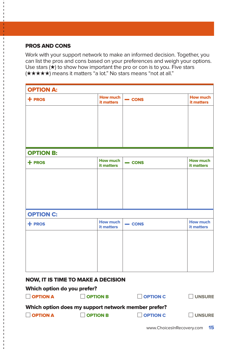### PROS AND CONS

Work with your support network to make an informed decision. Together, you can list the pros and cons based on your preferences and weigh your options. Use stars  $(\star)$  to show how important the pro or con is to you. Five stars (★★★★★) means it matters "a lot." No stars means "not at all."

| <b>OPTION A:</b> |                               |               |                               |  |
|------------------|-------------------------------|---------------|-------------------------------|--|
| $+$ PROS         | <b>How much</b><br>it matters | $=$ CONS      | <b>How much</b><br>it matters |  |
|                  |                               |               |                               |  |
|                  |                               |               |                               |  |
|                  |                               |               |                               |  |
|                  |                               |               |                               |  |
| <b>OPTION B:</b> |                               |               |                               |  |
| $+$ PROS         | <b>How much</b><br>it matters | $\equiv$ CONS | <b>How much</b><br>it matters |  |
|                  |                               |               |                               |  |
|                  |                               |               |                               |  |
|                  |                               |               |                               |  |
|                  |                               |               |                               |  |
| <b>OPTION C:</b> |                               |               |                               |  |
| $+$ PROS         | <b>How much</b><br>it matters | $=$ CONS      | <b>How much</b><br>it matters |  |
|                  |                               |               |                               |  |
|                  |                               |               |                               |  |
|                  |                               |               |                               |  |
|                  |                               |               |                               |  |
|                  |                               |               |                               |  |

#### NOW, IT IS TIME TO MAKE A DECISION

### Which option do you prefer?

| $\Box$ OPTION A | $\Box$ OPTION B                                     | $\Box$ OPTION C | $\Box$ UNSURE |
|-----------------|-----------------------------------------------------|-----------------|---------------|
|                 | Which option does my support network member prefer? |                 |               |
| $\Box$ OPTION A | <b>OPTION B</b>                                     | $\Box$ OPTION C | <b>UNSURE</b> |
|                 |                                                     |                 | <b>AE</b>     |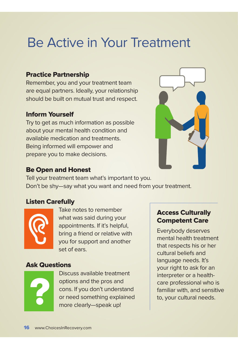## Be Active in Your Treatment

### Practice Partnership

Remember, you and your treatment team are equal partners. Ideally, your relationship should be built on mutual trust and respect.

### Inform Yourself

Try to get as much information as possible about your mental health condition and available medication and treatments. Being informed will empower and prepare you to make decisions.



### Be Open and Honest

Tell your treatment team what's important to you. Don't be shy—say what you want and need from your treatment.

### Listen Carefully



Take notes to remember what was said during your appointments. If it's helpful, bring a friend or relative with you for support and another set of ears.

### Ask Questions



Discuss available treatment options and the pros and cons. If you don't understand or need something explained more clearly—speak up!

### Access Culturally Competent Care

Everybody deserves mental health treatment that respects his or her cultural beliefs and language needs. It's your right to ask for an interpreter or a healthcare professional who is familiar with, and sensitive to, your cultural needs.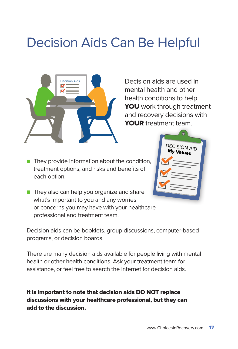## Decision Aids Can Be Helpful



Decision aids are used in mental health and other health conditions to help YOU work through treatment and recovery decisions with YOUR treatment team.

 $\blacksquare$  They provide information about the condition, treatment options, and risks and benefits of each option.



**n** They also can help you organize and share what's important to you and any worries or concerns you may have with your healthcare professional and treatment team.

Decision aids can be booklets, group discussions, computer-based programs, or decision boards.

There are many decision aids available for people living with mental health or other health conditions. Ask your treatment team for assistance, or feel free to search the Internet for decision aids.

It is important to note that decision aids DO NOT replace discussions with your healthcare professional, but they can add to the discussion.